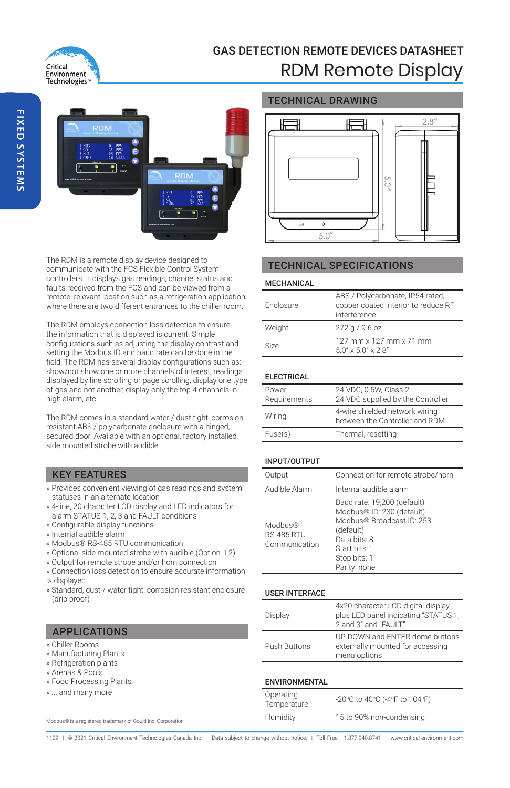

# GAS DETECTION REMOTE DEVICES DATASHEET RDM Remote Display



The RDM is a remote display device designed to communicate with the FCS Flexible Control System controllers. It displays gas readings, channel status and faults received from the FCS and can be viewed from a remote, relevant location such as a refrigeration application where there are two different entrances to the chiller room.

The RDM employs connection loss detection to ensure the information that is displayed is current. Simple configurations such as adjusting the display contrast and setting the Modbus ID and baud rate can be done in the field. The RDM has several display configurations such as: show/not show one or more channels of interest, readings displayed by line scrolling or page scrolling, display one type of gas and not another, display only the top 4 channels in high alarm, etc.

The RDM comes in a standard water / dust tight, corrosion resistant ABS / polycarbonate enclosure with a hinged, secured door. Available with an optional, factory installed side mounted strobe with audible.

## KEY FEATURES

- » Provides convenient viewing of gas readings and system statuses in an alternate location
- » 4-line, 20 character LCD display and LED indicators for alarm STATUS 1, 2, 3 and FAULT conditions
- » Configurable display functions
- » Internal audible alarm
- » Modbus® RS-485 RTU communication
- » Optional side mounted strobe with audible (Option -L2)
- » Output for remote strobe and/or horn connection
- » Connection loss detection to ensure accurate information is displayed
- » Standard, dust / water tight, corrosion resistant enclosure (drip proof)

## APPLICATIONS

- » Chiller Rooms
- » Manufacturing Plants
- » Refrigeration plants
- » Arenas & Pools
- » Food Processing Plants
- » ... and many more

Modbus® is a registered trademark of Gould Inc. Corporation.

### TECHNICAL DRAWING



## TECHNICAL SPECIFICATIONS

#### MECHANICAL

| <b>Enclosure</b> | ABS / Polycarbonate, IP54 rated,<br>copper coated interior to reduce RF<br>interference. |
|------------------|------------------------------------------------------------------------------------------|
| Weight           | $272$ g / 9.6 oz                                                                         |
| Size             | 127 mm x 127 mm x 71 mm<br>$5.0'' \times 5.0'' \times 2.8''$                             |

#### ELECTRICAL

| Power<br>Requirements | 24 VDC, 0.5W, Class 2<br>24 VDC supplied by the Controller       |
|-----------------------|------------------------------------------------------------------|
| Wiring                | 4-wire shielded network wiring<br>between the Controller and RDM |
| Fuse(s)               | Thermal, resetting                                               |

#### INPUT/OUTPUT

| Output                                                    | Connection for remote strobe/horn                                                                                                                                   |
|-----------------------------------------------------------|---------------------------------------------------------------------------------------------------------------------------------------------------------------------|
| Audible Alarm                                             | Internal audible alarm                                                                                                                                              |
| Modbus <sup>®</sup><br><b>RS-485 RTU</b><br>Communication | Baud rate: 19,200 (default)<br>Modbus® ID: 230 (default)<br>Modbus® Broadcast ID: 253<br>(default)<br>Data bits: 8<br>Start bits: 1<br>Stop bits: 1<br>Parity: none |

#### USER INTERFACE

| Display      | 4x20 character LCD digital display<br>plus LED panel indicating "STATUS 1,<br>2 and 3" and "FAULT" |
|--------------|----------------------------------------------------------------------------------------------------|
| Push Buttons | UP, DOWN and ENTER dome buttons<br>externally mounted for accessing<br>menu options                |

#### **ENVIRONMENTAL**

| Operating<br>Temperature | -20°C to 40°C (-4°F to 104°F) |
|--------------------------|-------------------------------|
| Humidity                 | 15 to 90% non-condensing      |

1129 | @ 2021 Critical Environment Technologies Canada Inc. | Data subject to change without notice. | Toll Free: +1.877.940.8741 | www.critical-environr